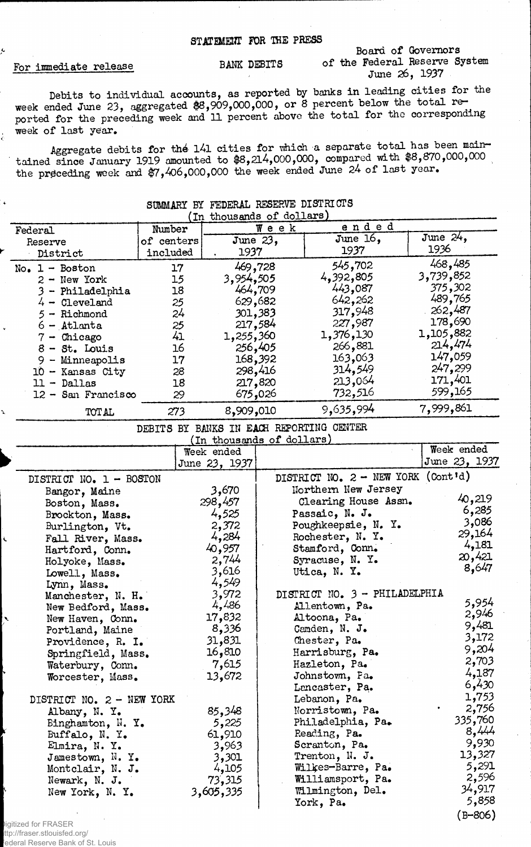## For immediate release

## Board of Governors BANK DEBITS of the Federal Reserve System<br>June 26, 1937

Debits to individual acoounts, as reported by banks in leading cities for the week ended June 23, aggregated \$8,909,000,000, or 8 percent below the total reported for the preceding week and 11 percent above the total for the corresponding week of last year.

Aggregate debits for the 141 cities for which a separate total has been maintained since January 1919 amounted to \$8,214,000,000, compared with \$8,870,000,000 the preceding week and \$7,406,000,000 the week ended June 24 of last year.

## SUMMARY BY FEDERAL RESERVE DISTRICTS (In thousands of dollars) Federal Reserve District Number of centers included Week ended June 23, 1937 June 16, 1937 June 24, 1936 No. 1 - Boston 17 469,728<br>2 - New York 15 3,954,505 2 - New York 15 3,954,505<br>3 - Philadelphia 18 464,709 3 - Philadelphia 18 464,709<br>4 - Cleveland 25 629,682  $4$  - Cleveland  $25$ 5 - Richmond 24 301,383<br>6 - Atlanta 25 217,584  $6 -$ Atlanta  $25$  $7 -$ Chicago  $41$  1,255,360 8 - St. Louis 16 256,405 9 - Minneapolis 17 168,392<br>0 - Kansas City 28 298,416 10 - Kansas City 28 298,416<br>11 - Dallas 18 217,820  $11 -$  Dallas  $18$ 12 - San Francisco 29 675,026 TOTAL 273 8,909,010 545,702 4,392,805 443,087 642,262 317,948 227,987 1,376,130 266,881 163.063 314,549 213.064 732,516 468**,**485<br>3,739,852 375,302 489,765 262,487 178,690 <sup>1</sup>,105,882 214,474 147,059 247,299 171,401 599,165 9,635,994 7,999,861

DEBITS BY BANKS IN EACH REPORTING CENTER

| (In thousands of dollars) |               |                                              |               |  |  |
|---------------------------|---------------|----------------------------------------------|---------------|--|--|
|                           | Week ended    |                                              | Week ended    |  |  |
|                           | June 23, 1937 |                                              | June 23, 1937 |  |  |
| DISTRICT NO. 1 - BOSTON   |               | DISTRICT NO. $2 - \text{NEW YORK (Cont id)}$ |               |  |  |
| Bangor, Maine             | 3,670         | Northern New Jersey                          |               |  |  |
| Boston, Mass.             | 298,457       | Clearing House Assn.                         | 40,219        |  |  |
| Brockton, Mass.           | 4,525         | Passaic, N. J.                               | 6,285         |  |  |
| Burlington, Vt.           | 2,372         | Poughkeepsie, N. Y.                          | 3,086         |  |  |
| Fall River, Mass.         | 4,284         | Rochester, N. Y.                             | 29,164        |  |  |
| Hartford, Conn.           | 40,957        | Stamford, Conn.                              | 4,181         |  |  |
| Holyoke, Mass.            | 2,744         | Syracuse, N. Y.                              | 20,421        |  |  |
| Lowell, Mass.             | 3,616         | Utica, N. Y.                                 | 8,647         |  |  |
| Lynn, Mass.               | 4,549         |                                              |               |  |  |
| Manchester, N. H.         | 3,972         | DISTRICT NO. 3 - PHILADELPHIA                |               |  |  |
| New Bedford, Mass.        | 4,486         | Allentown, Pa.                               | 5,954         |  |  |
| New Haven, Conn.          | 17,832        | Altoona, Pa.                                 | 2,946         |  |  |
| Portland, Maine           | 8,336         | Camden, N. J.                                | 9,481         |  |  |
| Providence, R. I.         | 31,831        | Chester, Pa.                                 | 3,172         |  |  |
| Springfield, Mass.        | 16,810        | Harrisburg, Pa.                              | 9,204         |  |  |
| Waterbury, Conn.          | 7,615         | Hazleton, Pa.                                | 2,703         |  |  |
| Worcester, Mass.          | 13,672        | Johnstown, Pa.                               | 4,187         |  |  |
|                           |               | Lencaster, Pa.                               | 6,430         |  |  |
| DISTRICT NO. 2 - NEW YORK |               | Lebanon, Pa.                                 | 1,753         |  |  |
| Albany, N. Y.             | 85,348        | Norristown, Pa.                              | 2,756         |  |  |
| Binghamton, N. Y.         | 5,225         | Philadelphia, Pa.                            | 335,760       |  |  |
| Buffalo, N. Y.            | 61,910        | Reading, Pa.                                 | 8,444         |  |  |
| Elmira, N. Y.             | 3,963         | Scranton, Pa.                                | 9,930         |  |  |
| Jamestown, N.Y.           | 3,301         | Trenton, N. J.                               | 13,327        |  |  |
| Montclair, N. J.          | 4,105         | Wilkes-Barre, Pa.                            | 5,291         |  |  |
| Newark, N. J.             | 73,315        | Williamsport, Pa.                            | 2,596         |  |  |
| New York, N.Y.            | 3,605,335     | Wilmington, Del.                             | 34,917        |  |  |
|                           |               | York, Pa.                                    | 5,858         |  |  |
|                           |               |                                              | $(B-806)$     |  |  |

Digitized for FRASER ttp://fraser.stlouisfed.org/ ederal Reserve Bank of St. Louis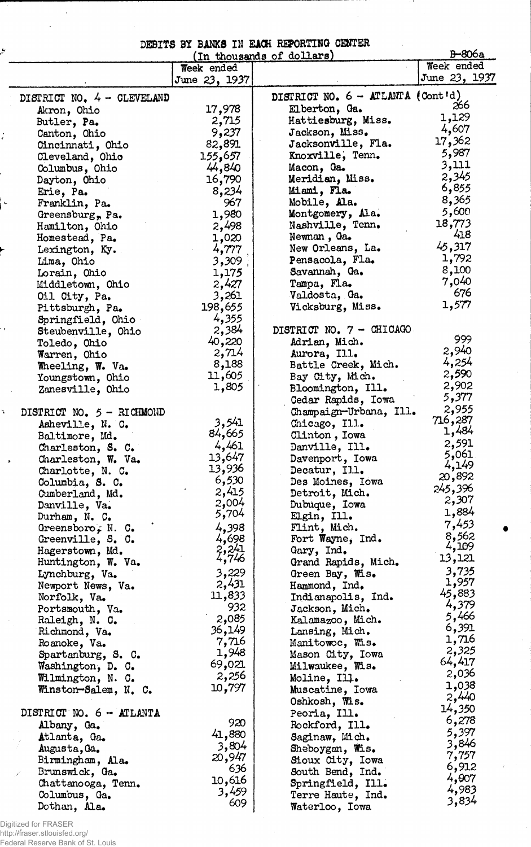## DEBITS BX BANKS IN EACH REPORTING CENTER

|                                 |                    | (In thousands of dollars)          | <b>B-806a</b>  |
|---------------------------------|--------------------|------------------------------------|----------------|
|                                 | Week ended         |                                    | Week ended     |
|                                 | June 23, 1937      |                                    | June 23, 1937  |
| DISTRICT NO. 4 - CLEVELAND      |                    | DISTRICT NO. 6 - ATLANTA (Cont'd)  |                |
| Akron, Ohio                     | 17,978             | Elberton, Ga.                      | 266            |
| Butler, Pa.                     | 2,715              | Hattiesburg, Miss.                 | 1,129          |
| Canton, Ohio                    | 9,237              | Jackson, Miss.                     | 4,607          |
| Cincinnati, Ohio                | 82,891             | Jacksonville, Fla.                 | 17,362         |
| Cleveland, Ohio                 | 155,657            | Knoxville, Tenn.                   | 5,987          |
| Columbus, Ohio                  | 44,840             | Macon, Ga.                         | 3,111          |
| Dayton, Ohio                    | 16,790             | Meridian, Miss.                    | 2,345          |
| Erie, Pa.                       | 8,234              | Miami, Fla.                        | 6,855          |
| Franklin, Pa.                   | 967                | Mobile, Ala.                       | 8,365          |
| Greensburg, Pa.                 | 1,980              | Montgomery, Ala.                   | 5,600          |
| Hamilton, Ohio                  | 2,498              | Nashville, Tenn.                   | 18,773         |
| Homestead, Pa.                  | 1,020              | Newnan, Ga.                        | 418            |
| Lexington, Ky.                  | 4,777              | New Orleans, La.                   | 45,317         |
| Lima, Ohio                      | 3,309              | Pensacola, Fla.                    | 1,792          |
| Lorain, Ohio                    | 1,175              | Savannah, Ga.                      | 8,100          |
| Middletown, Ohio                | 2,427              | Tampa, Fla.                        | 7,040          |
| Oil City, Pa.                   | 3,261              | Valdosta, Ga.                      | 676            |
| Pittsburgh, Pa.                 | 198,655            | Vicksburg, Miss.                   | 1,577          |
| Springfield, Ohio               | 4,355              |                                    |                |
| Steubenville, Ohio              | 2,384              | DISTRICT NO. 7 - CHICAGO           |                |
| Toledo, Ohio                    | 40,220             | Adrian, Mich.                      | 999            |
| Warren, Ohio                    | 2,714              | Aurora, Ill.                       | 2,940          |
| Wheeling, W. Va.                | 8,188              | Battle Creek, Mich.                | 4,254          |
| Youngstown, Ohio                | 11,605             | Bay City, Mich.                    | 2,590          |
| Zanesville, Ohio                | 1,805              | Bloomington, Ill.                  | 2,902          |
|                                 |                    | Cedar Rapids, Iowa                 | 5,377          |
| DISTRICT NO. 5 - RICHMOND       |                    | Champaign-Urbana, Ill.             | 2,955          |
| Asheville, N. C.                | 3,541              | Chicago, Ill.                      | 716,287        |
| Baltimore, Md.                  | 84,665             | Clinton, Iowa                      | 1,484          |
| Charleston, S. C.               | 4,461              | Danville, Ill.                     | 2,591          |
| Charleston, W. Va.              | 13,647             | Davenport, Iowa                    | 5,061<br>4,149 |
| Charlotte, N. C.                | 13,936             | Decatur, Ill.                      | 20,892         |
| Columbia, S. C.                 | 6,530              | Des Moines, Iowa                   | 245,396        |
| Cumberland, Md.                 | 2,415              | Detroit, Mich.                     | 2,307          |
| Danville, Va.                   | 2,004              | Dubuque, Iowa                      | 1,884          |
| Durham, N. C.                   | 5,704              | Elgin, Ill.                        | 7,453          |
| Greensboro, N. C.               | 4,398              | Flint, Mich.                       | 8,562          |
| Greenville, S. C.               | 4,698              | Fort Wayne, Ind.                   | 4,109          |
| Hagerstown, Md.                 | $2,241$<br>$4,746$ | Gary, Ind.                         | 13,121         |
| Huntington, W. Va.              |                    | Grand Rapids, Mich.                | 3,735          |
| Lynchburg, Va.                  | 3,229<br>2,431     | Green Bay, Wis.                    | 1,957          |
| Newport News, Va.               | 11,833             | Hammond, Ind.                      | 45,883         |
| Norfolk, Va.                    | 932                | Indianapolis, Ind.                 | 4,379          |
| Portsmouth, Va.                 | 2,085              | Jackson, Mich.                     | 5,466          |
| Raleigh, N. C.<br>Richmond, Va. | 36,149             | Kalamazoo, Mich.<br>Lansing, Mich. | 6,391          |
| Roanoke, Va.                    | 7,716              | Manitowoc, Mis.                    | 1,716          |
| Spartanburg, S. C.              | 1,948              | Mason City, Iowa                   | 2,325          |
| Washington, D. C.               | 69,021             | Milwaukee, Wis.                    | 64,417         |
| Wilmington, N. C.               | 2,256              | Moline, Ill.                       | 2,036          |
| Winston-Salem, N. C.            | 10,797             | Muscatine, Iowa                    | 1,038          |
|                                 |                    | Oshkosh, Wis.                      | 2,440          |
| DISTRICT NO. 6 - ATLANTA        |                    | Peoria, Ill.                       | 14,350         |
| Albany, Ga.                     | 920                | Rockford, Ill.                     | 6,278          |
| Atlanta, Ga.                    | 41,880             | Saginaw, Mich.                     | 5,397          |
| Augusta, Ga.                    | 3,804              | Sheboygan, Wis.                    | 3,846          |
| Birmingham, Ala.                | 20,947             | Sioux City, Iowa                   | 7,757          |
| Brunswick, Ga.                  | 636                | South Bend, Ind.                   | 6,912          |
| Chattanooga, Tenn.              | 10,616             | Springfield, Ill.                  | 4,007          |
| Columbus, Ga.                   | 3,459              | Terre Haute, Ind.                  | 4,983          |
| Dothan, Ala.                    | 609                | Waterloo, Iowa                     | 3,834          |
|                                 |                    |                                    |                |

Digitized for FRASER http://fraser.stlouisfed.org/ Federal Reserve Bank of St. Louis

þ,

 $\frac{1}{\epsilon}$ 

¦ L

 $\mathbf{r}$